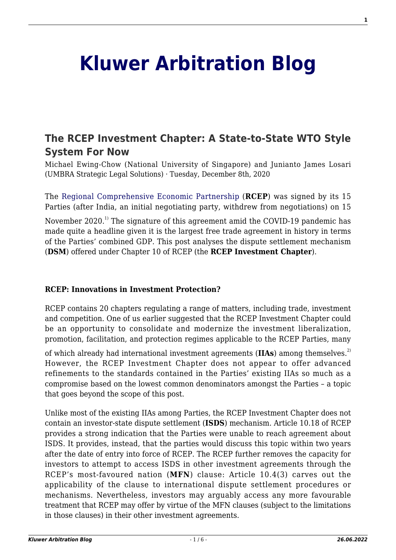# **[Kluwer Arbitration Blog](http://arbitrationblog.kluwerarbitration.com/)**

# **[The RCEP Investment Chapter: A State-to-State WTO Style](http://arbitrationblog.kluwerarbitration.com/2020/12/08/the-rcep-investment-chapter-a-state-to-state-wto-style-system-for-now/) [System For Now](http://arbitrationblog.kluwerarbitration.com/2020/12/08/the-rcep-investment-chapter-a-state-to-state-wto-style-system-for-now/)**

Michael Ewing-Chow (National University of Singapore) and Junianto James Losari (UMBRA Strategic Legal Solutions) · Tuesday, December 8th, 2020

The [Regional Comprehensive Economic Partnership](https://rcepsec.org/legal-text/) (**RCEP**) was signed by its 15 Parties (after India, an initial negotiating party, withdrew from negotiations) on 15

November 2020.<sup>1)</sup> The signature of this agreement amid the COVID-19 pandemic has made quite a headline given it is the largest free trade agreement in history in terms of the Parties' combined GDP. This post analyses the dispute settlement mechanism (**DSM**) offered under Chapter 10 of RCEP (the **RCEP Investment Chapter**).

### **RCEP: Innovations in Investment Protection?**

RCEP contains 20 chapters regulating a range of matters, including trade, investment and competition. One of us earlier suggested that the RCEP Investment Chapter could be an opportunity to consolidate and modernize the investment liberalization, promotion, facilitation, and protection regimes applicable to the RCEP Parties, many

of which already had international investment agreements (IIAs) among themselves.<sup>2)</sup> However, the RCEP Investment Chapter does not appear to offer advanced refinements to the standards contained in the Parties' existing IIAs so much as a compromise based on the lowest common denominators amongst the Parties – a topic that goes beyond the scope of this post.

Unlike most of the existing IIAs among Parties, the RCEP Investment Chapter does not contain an investor-state dispute settlement (**ISDS**) mechanism. Article 10.18 of RCEP provides a strong indication that the Parties were unable to reach agreement about ISDS. It provides, instead, that the parties would discuss this topic within two years after the date of entry into force of RCEP. The RCEP further removes the capacity for investors to attempt to access ISDS in other investment agreements through the RCEP's most-favoured nation (**MFN**) clause: Article 10.4(3) carves out the applicability of the clause to international dispute settlement procedures or mechanisms. Nevertheless, investors may arguably access any more favourable treatment that RCEP may offer by virtue of the MFN clauses (subject to the limitations in those clauses) in their other investment agreements.

**1**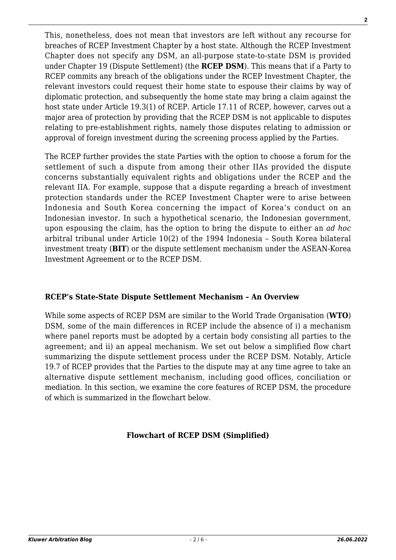This, nonetheless, does not mean that investors are left without any recourse for breaches of RCEP Investment Chapter by a host state. Although the RCEP Investment Chapter does not specify any DSM, an all-purpose state-to-state DSM is provided under Chapter 19 (Dispute Settlement) (the **RCEP DSM**). This means that if a Party to RCEP commits any breach of the obligations under the RCEP Investment Chapter, the relevant investors could request their home state to espouse their claims by way of diplomatic protection, and subsequently the home state may bring a claim against the host state under Article 19.3(1) of RCEP. Article 17.11 of RCEP, however, carves out a major area of protection by providing that the RCEP DSM is not applicable to disputes relating to pre-establishment rights, namely those disputes relating to admission or approval of foreign investment during the screening process applied by the Parties.

The RCEP further provides the state Parties with the option to choose a forum for the settlement of such a dispute from among their other IIAs provided the dispute concerns substantially equivalent rights and obligations under the RCEP and the relevant IIA. For example, suppose that a dispute regarding a breach of investment protection standards under the RCEP Investment Chapter were to arise between Indonesia and South Korea concerning the impact of Korea's conduct on an Indonesian investor. In such a hypothetical scenario, the Indonesian government, upon espousing the claim, has the option to bring the dispute to either an *ad hoc* arbitral tribunal under Article 10(2) of the 1994 Indonesia – South Korea bilateral investment treaty (**BIT**) or the dispute settlement mechanism under the ASEAN-Korea Investment Agreement or to the RCEP DSM.

# **RCEP's State-State Dispute Settlement Mechanism – An Overview**

While some aspects of RCEP DSM are similar to the World Trade Organisation (**WTO**) DSM, some of the main differences in RCEP include the absence of i) a mechanism where panel reports must be adopted by a certain body consisting all parties to the agreement; and ii) an appeal mechanism. We set out below a simplified flow chart summarizing the dispute settlement process under the RCEP DSM. Notably, Article 19.7 of RCEP provides that the Parties to the dispute may at any time agree to take an alternative dispute settlement mechanism, including good offices, conciliation or mediation. In this section, we examine the core features of RCEP DSM, the procedure of which is summarized in the flowchart below.

### **Flowchart of RCEP DSM (Simplified)**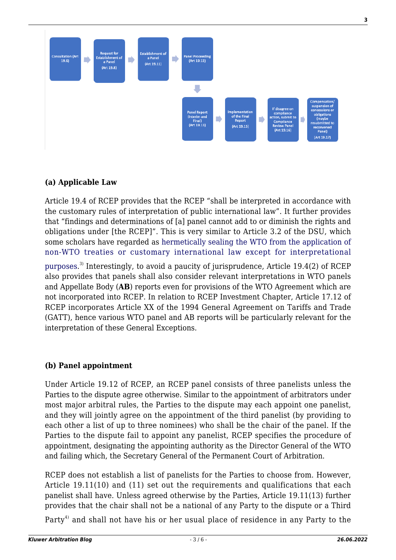

# **(a) Applicable Law**

Article 19.4 of RCEP provides that the RCEP "shall be interpreted in accordance with the customary rules of interpretation of public international law". It further provides that "findings and determinations of [a] panel cannot add to or diminish the rights and obligations under [the RCEP]". This is very similar to Article 3.2 of the DSU, which some scholars have regarded as [hermetically sealing the WTO from the application of](https://cil.nus.edu.sg/wp-content/uploads/2010/08/MichaelEwing-Chow-Antoni-Trade-and-Investment-Convergence-and-Divergence.pdf) [non-WTO treaties or customary international law except for interpretational](https://cil.nus.edu.sg/wp-content/uploads/2010/08/MichaelEwing-Chow-Antoni-Trade-and-Investment-Convergence-and-Divergence.pdf)

[purposes](https://cil.nus.edu.sg/wp-content/uploads/2010/08/MichaelEwing-Chow-Antoni-Trade-and-Investment-Convergence-and-Divergence.pdf).<sup>3)</sup> Interestingly, to avoid a paucity of jurisprudence, Article 19.4(2) of RCEP also provides that panels shall also consider relevant interpretations in WTO panels and Appellate Body (**AB**) reports even for provisions of the WTO Agreement which are not incorporated into RCEP. In relation to RCEP Investment Chapter, Article 17.12 of RCEP incorporates Article XX of the 1994 General Agreement on Tariffs and Trade (GATT), hence various WTO panel and AB reports will be particularly relevant for the interpretation of these General Exceptions.

# **(b) Panel appointment**

Under Article 19.12 of RCEP, an RCEP panel consists of three panelists unless the Parties to the dispute agree otherwise. Similar to the appointment of arbitrators under most major arbitral rules, the Parties to the dispute may each appoint one panelist, and they will jointly agree on the appointment of the third panelist (by providing to each other a list of up to three nominees) who shall be the chair of the panel. If the Parties to the dispute fail to appoint any panelist, RCEP specifies the procedure of appointment, designating the appointing authority as the Director General of the WTO and failing which, the Secretary General of the Permanent Court of Arbitration.

RCEP does not establish a list of panelists for the Parties to choose from. However, Article 19.11(10) and (11) set out the requirements and qualifications that each panelist shall have. Unless agreed otherwise by the Parties, Article 19.11(13) further provides that the chair shall not be a national of any Party to the dispute or a Third

Party<sup>4)</sup> and shall not have his or her usual place of residence in any Party to the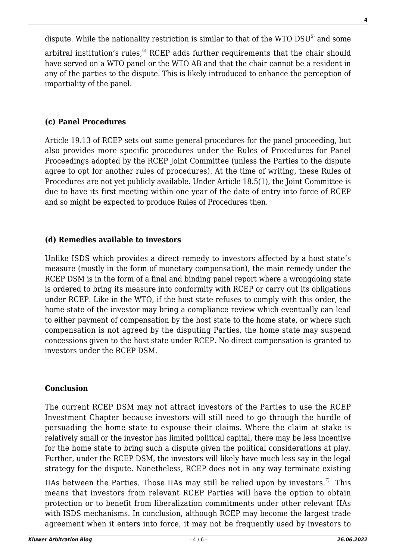dispute. While the nationality restriction is similar to that of the WTO DSU<sup>5)</sup> and some arbitral institution's rules, $6$  RCEP adds further requirements that the chair should have served on a WTO panel or the WTO AB and that the chair cannot be a resident in any of the parties to the dispute. This is likely introduced to enhance the perception of impartiality of the panel.

## **(c) Panel Procedures**

Article 19.13 of RCEP sets out some general procedures for the panel proceeding, but also provides more specific procedures under the Rules of Procedures for Panel Proceedings adopted by the RCEP Joint Committee (unless the Parties to the dispute agree to opt for another rules of procedures). At the time of writing, these Rules of Procedures are not yet publicly available. Under Article 18.5(1), the Joint Committee is due to have its first meeting within one year of the date of entry into force of RCEP and so might be expected to produce Rules of Procedures then.

# **(d) Remedies available to investors**

Unlike ISDS which provides a direct remedy to investors affected by a host state's measure (mostly in the form of monetary compensation), the main remedy under the RCEP DSM is in the form of a final and binding panel report where a wrongdoing state is ordered to bring its measure into conformity with RCEP or carry out its obligations under RCEP. Like in the WTO, if the host state refuses to comply with this order, the home state of the investor may bring a compliance review which eventually can lead to either payment of compensation by the host state to the home state, or where such compensation is not agreed by the disputing Parties, the home state may suspend concessions given to the host state under RCEP. No direct compensation is granted to investors under the RCEP DSM.

### **Conclusion**

The current RCEP DSM may not attract investors of the Parties to use the RCEP Investment Chapter because investors will still need to go through the hurdle of persuading the home state to espouse their claims. Where the claim at stake is relatively small or the investor has limited political capital, there may be less incentive for the home state to bring such a dispute given the political considerations at play. Further, under the RCEP DSM, the investors will likely have much less say in the legal strategy for the dispute. Nonetheless, RCEP does not in any way terminate existing

IIAs between the Parties. Those IIAs may still be relied upon by investors.<sup>7)</sup> This means that investors from relevant RCEP Parties will have the option to obtain protection or to benefit from liberalization commitments under other relevant IIAs with ISDS mechanisms. In conclusion, although RCEP may become the largest trade agreement when it enters into force, it may not be frequently used by investors to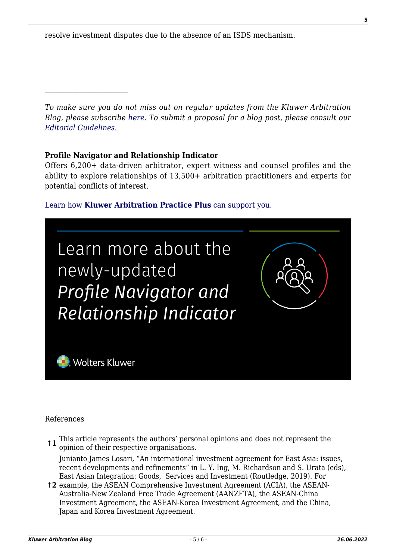resolve investment disputes due to the absence of an ISDS mechanism.

*To make sure you do not miss out on regular updates from the Kluwer Arbitration Blog, please subscribe [here](http://arbitrationblog.kluwerarbitration.com/newsletter/). To submit a proposal for a blog post, please consult our [Editorial Guidelines.](http://arbitrationblog.kluwerarbitration.com/editorial-guidelines/)*

#### **Profile Navigator and Relationship Indicator**

Offers 6,200+ data-driven arbitrator, expert witness and counsel profiles and the ability to explore relationships of 13,500+ arbitration practitioners and experts for potential conflicts of interest.

#### [Learn how](https://www.wolterskluwer.com/en/solutions/kluwerarbitration/practiceplus?utm_source=arbitrationblog&utm_medium=articleCTA&utm_campaign=article-banner) **[Kluwer Arbitration Practice Plus](https://www.wolterskluwer.com/en/solutions/kluwerarbitration/practiceplus?utm_source=arbitrationblog&utm_medium=articleCTA&utm_campaign=article-banner)** [can support you.](https://www.wolterskluwer.com/en/solutions/kluwerarbitration/practiceplus?utm_source=arbitrationblog&utm_medium=articleCTA&utm_campaign=article-banner)



References

**↑1** This article represents the authors' personal opinions and does not represent the opinion of their respective organisations.

Junianto James Losari, "An international investment agreement for East Asia: issues, recent developments and refinements" in L. Y. Ing, M. Richardson and S. Urata (eds), East Asian Integration: Goods, Services and Investment (Routledge, 2019). For

**↑2** example, the ASEAN Comprehensive Investment Agreement (ACIA), the ASEAN-Australia-New Zealand Free Trade Agreement (AANZFTA), the ASEAN-China Investment Agreement, the ASEAN-Korea Investment Agreement, and the China, Japan and Korea Investment Agreement.